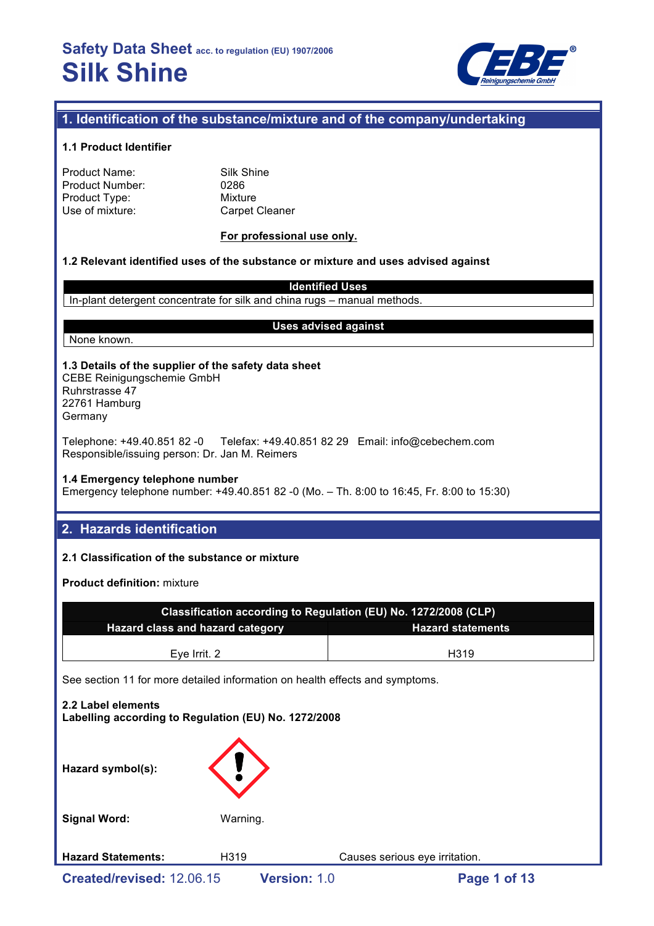

## **1. Identification of the substance/mixture and of the company/undertaking**

#### **1.1 Product Identifier**

| Product Name:   |  |
|-----------------|--|
| Product Number: |  |
| Product Type:   |  |
| Use of mixture: |  |

Silk Shine 0286 **Mixture** Carpet Cleaner

#### **For professional use only.**

#### **1.2 Relevant identified uses of the substance or mixture and uses advised against**

**Identified Uses** In-plant detergent concentrate for silk and china rugs – manual methods.

#### None known.

#### **Uses advised against**

**1.3 Details of the supplier of the safety data sheet** CEBE Reinigungschemie GmbH Ruhrstrasse 47 22761 Hamburg

Germany

Telephone: +49.40.851 82 -0 Telefax: +49.40.851 82 29 Email: info@cebechem.com Responsible/issuing person: Dr. Jan M. Reimers

#### **1.4 Emergency telephone number**

Emergency telephone number: +49.40.851 82 -0 (Mo. – Th. 8:00 to 16:45, Fr. 8:00 to 15:30)

## **2. Hazards identification**

#### **2.1 Classification of the substance or mixture**

**Product definition:** mixture

| Classification according to Regulation (EU) No. 1272/2008 (CLP)              |  |  |  |  |  |
|------------------------------------------------------------------------------|--|--|--|--|--|
| <b>Hazard class and hazard category</b><br><b>Hazard statements</b>          |  |  |  |  |  |
|                                                                              |  |  |  |  |  |
| Eye Irrit. 2<br>H <sub>3</sub> 19                                            |  |  |  |  |  |
| See section 11 for more detailed information on health effects and symptoms. |  |  |  |  |  |
| 2.2 Label elements<br>Labelling according to Regulation (EU) No. 1272/2008   |  |  |  |  |  |

| Hazard symbol(s):         |          |                                |  |
|---------------------------|----------|--------------------------------|--|
| <b>Signal Word:</b>       | Warning. |                                |  |
| <b>Hazard Statements:</b> | H319     | Causes serious eye irritation. |  |
| Created/revised: 12.06.15 |          | Version: 1.0<br>Page 1 of 13   |  |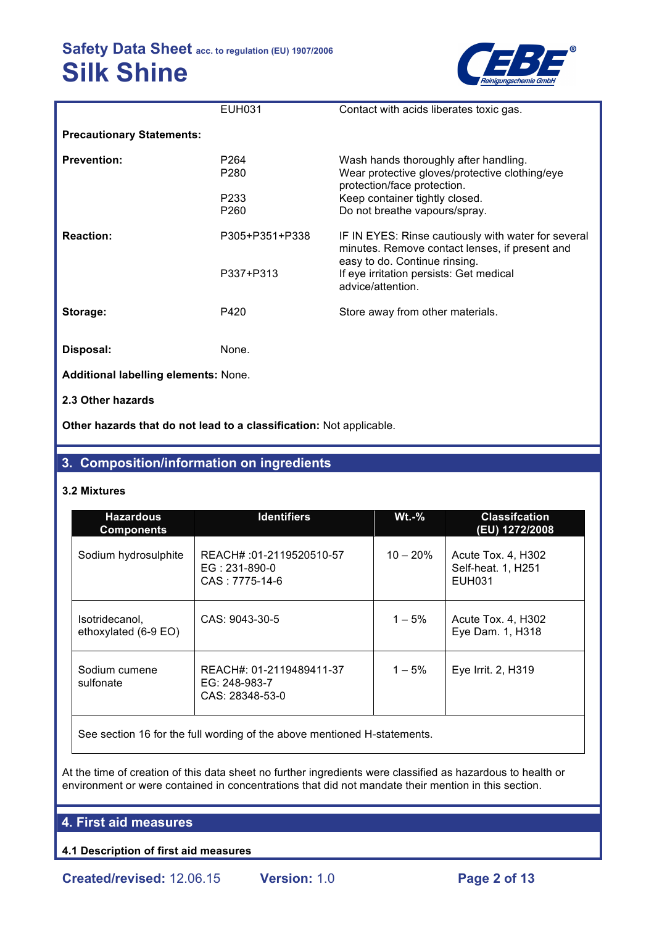

|                                      | <b>EUH031</b>            | Contact with acids liberates toxic gas.                                                                                                |
|--------------------------------------|--------------------------|----------------------------------------------------------------------------------------------------------------------------------------|
| <b>Precautionary Statements:</b>     |                          |                                                                                                                                        |
| <b>Prevention:</b>                   | P <sub>264</sub><br>P280 | Wash hands thoroughly after handling.<br>Wear protective gloves/protective clothing/eye<br>protection/face protection.                 |
|                                      | P233<br>P260             | Keep container tightly closed.<br>Do not breathe vapours/spray.                                                                        |
| <b>Reaction:</b>                     | P305+P351+P338           | IF IN EYES: Rinse cautiously with water for several<br>minutes. Remove contact lenses, if present and<br>easy to do. Continue rinsing. |
|                                      | P337+P313                | If eye irritation persists: Get medical<br>advice/attention.                                                                           |
| Storage:                             | P420                     | Store away from other materials.                                                                                                       |
| Disposal:                            | None.                    |                                                                                                                                        |
| Additional labelling elements: None. |                          |                                                                                                                                        |
| 2.3 Other hazards                    |                          |                                                                                                                                        |

**Other hazards that do not lead to a classification:** Not applicable.

## **3. Composition/information on ingredients**

#### **3.2 Mixtures**

| <b>Hazardous</b><br><b>Components</b>  | <b>Identifiers</b>                                            | $Wt.-%$    | <b>Classifcation</b><br>(EU) 1272/2008                    |  |
|----------------------------------------|---------------------------------------------------------------|------------|-----------------------------------------------------------|--|
| Sodium hydrosulphite                   | REACH# :01-2119520510-57<br>$EG: 231-890-0$<br>CAS: 7775-14-6 | $10 - 20%$ | Acute Tox. 4, H302<br>Self-heat. 1, H251<br><b>EUH031</b> |  |
| Isotridecanol,<br>ethoxylated (6-9 EO) | CAS: 9043-30-5                                                | $1 - 5%$   | Acute Tox. 4, H302<br>Eye Dam. 1, H318                    |  |
| Sodium cumene<br>sulfonate             | REACH#: 01-2119489411-37<br>EG: 248-983-7<br>CAS: 28348-53-0  | $1 - 5%$   | Eye Irrit. 2, H319                                        |  |

See section 16 for the full wording of the above mentioned H-statements.

At the time of creation of this data sheet no further ingredients were classified as hazardous to health or environment or were contained in concentrations that did not mandate their mention in this section.

## **4. First aid measures**

**4.1 Description of first aid measures**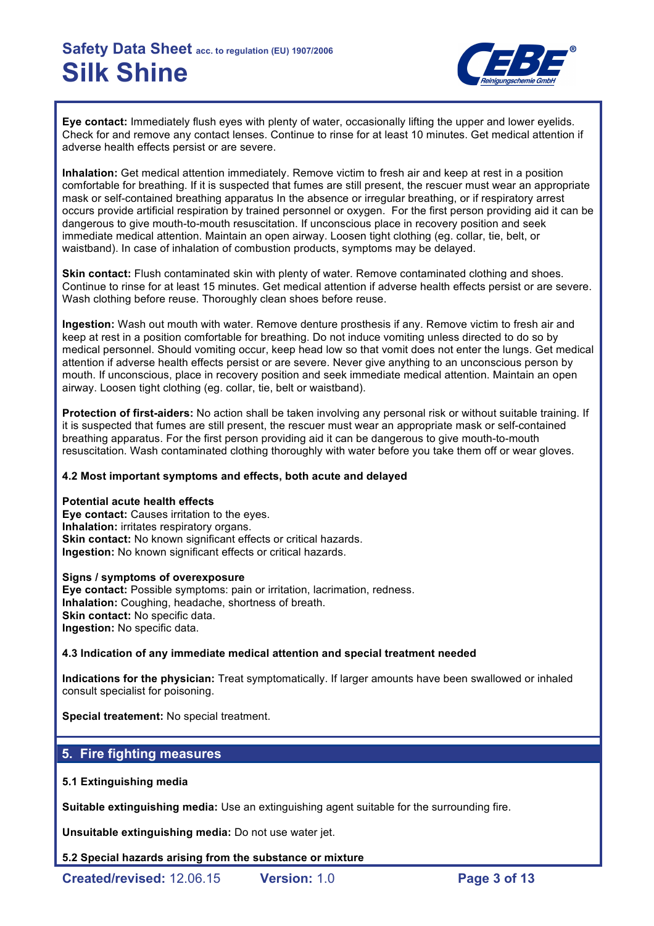

**Eye contact:** Immediately flush eyes with plenty of water, occasionally lifting the upper and lower eyelids. Check for and remove any contact lenses. Continue to rinse for at least 10 minutes. Get medical attention if adverse health effects persist or are severe.

**Inhalation:** Get medical attention immediately. Remove victim to fresh air and keep at rest in a position comfortable for breathing. If it is suspected that fumes are still present, the rescuer must wear an appropriate mask or self-contained breathing apparatus In the absence or irregular breathing, or if respiratory arrest occurs provide artificial respiration by trained personnel or oxygen. For the first person providing aid it can be dangerous to give mouth-to-mouth resuscitation. If unconscious place in recovery position and seek immediate medical attention. Maintain an open airway. Loosen tight clothing (eg. collar, tie, belt, or waistband). In case of inhalation of combustion products, symptoms may be delayed.

**Skin contact:** Flush contaminated skin with plenty of water. Remove contaminated clothing and shoes. Continue to rinse for at least 15 minutes. Get medical attention if adverse health effects persist or are severe. Wash clothing before reuse. Thoroughly clean shoes before reuse.

**Ingestion:** Wash out mouth with water. Remove denture prosthesis if any. Remove victim to fresh air and keep at rest in a position comfortable for breathing. Do not induce vomiting unless directed to do so by medical personnel. Should vomiting occur, keep head low so that vomit does not enter the lungs. Get medical attention if adverse health effects persist or are severe. Never give anything to an unconscious person by mouth. If unconscious, place in recovery position and seek immediate medical attention. Maintain an open airway. Loosen tight clothing (eg. collar, tie, belt or waistband).

**Protection of first-aiders:** No action shall be taken involving any personal risk or without suitable training. If it is suspected that fumes are still present, the rescuer must wear an appropriate mask or self-contained breathing apparatus. For the first person providing aid it can be dangerous to give mouth-to-mouth resuscitation. Wash contaminated clothing thoroughly with water before you take them off or wear gloves.

#### **4.2 Most important symptoms and effects, both acute and delayed**

#### **Potential acute health effects**

**Eye contact:** Causes irritation to the eyes. **Inhalation:** irritates respiratory organs. **Skin contact:** No known significant effects or critical hazards. **Ingestion:** No known significant effects or critical hazards.

#### **Signs / symptoms of overexposure**

**Eye contact:** Possible symptoms: pain or irritation, lacrimation, redness. **Inhalation:** Coughing, headache, shortness of breath. **Skin contact: No specific data. Ingestion:** No specific data.

### **4.3 Indication of any immediate medical attention and special treatment needed**

**Indications for the physician:** Treat symptomatically. If larger amounts have been swallowed or inhaled consult specialist for poisoning.

**Special treatement:** No special treatment.

## **5. Fire fighting measures**

### **5.1 Extinguishing media**

**Suitable extinguishing media:** Use an extinguishing agent suitable for the surrounding fire.

**Unsuitable extinguishing media:** Do not use water jet.

**5.2 Special hazards arising from the substance or mixture**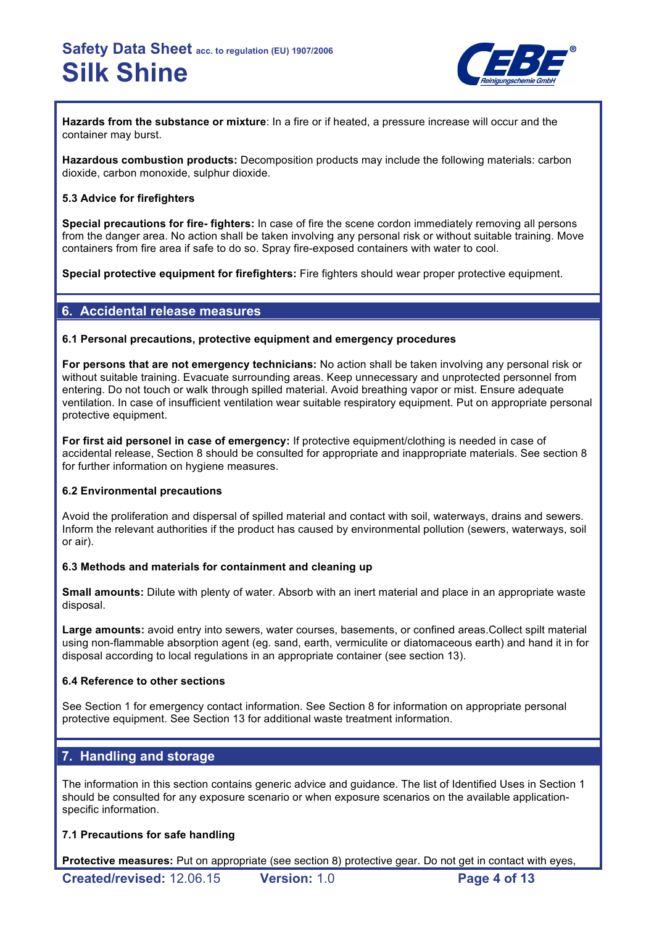

**Hazards from the substance or mixture**: In a fire or if heated, a pressure increase will occur and the container may burst.

**Hazardous combustion products:** Decomposition products may include the following materials: carbon dioxide, carbon monoxide, sulphur dioxide.

#### **5.3 Advice for firefighters**

**Special precautions for fire- fighters:** In case of fire the scene cordon immediately removing all persons from the danger area. No action shall be taken involving any personal risk or without suitable training. Move containers from fire area if safe to do so. Spray fire-exposed containers with water to cool.

**Special protective equipment for firefighters:** Fire fighters should wear proper protective equipment.

## **6. Accidental release measures**

#### **6.1 Personal precautions, protective equipment and emergency procedures**

**For persons that are not emergency technicians:** No action shall be taken involving any personal risk or without suitable training. Evacuate surrounding areas. Keep unnecessary and unprotected personnel from entering. Do not touch or walk through spilled material. Avoid breathing vapor or mist. Ensure adequate ventilation. In case of insufficient ventilation wear suitable respiratory equipment. Put on appropriate personal protective equipment.

**For first aid personel in case of emergency:** If protective equipment/clothing is needed in case of accidental release, Section 8 should be consulted for appropriate and inappropriate materials. See section 8 for further information on hygiene measures.

#### **6.2 Environmental precautions**

Avoid the proliferation and dispersal of spilled material and contact with soil, waterways, drains and sewers. Inform the relevant authorities if the product has caused by environmental pollution (sewers, waterways, soil or air).

#### **6.3 Methods and materials for containment and cleaning up**

**Small amounts:** Dilute with plenty of water. Absorb with an inert material and place in an appropriate waste disposal.

**Large amounts:** avoid entry into sewers, water courses, basements, or confined areas.Collect spilt material using non-flammable absorption agent (eg. sand, earth, vermiculite or diatomaceous earth) and hand it in for disposal according to local regulations in an appropriate container (see section 13).

#### **6.4 Reference to other sections**

See Section 1 for emergency contact information. See Section 8 for information on appropriate personal protective equipment. See Section 13 for additional waste treatment information.

### **7. Handling and storage**

The information in this section contains generic advice and guidance. The list of Identified Uses in Section 1 should be consulted for any exposure scenario or when exposure scenarios on the available applicationspecific information.

#### **7.1 Precautions for safe handling**

**Protective measures:** Put on appropriate (see section 8) protective gear. Do not get in contact with eyes,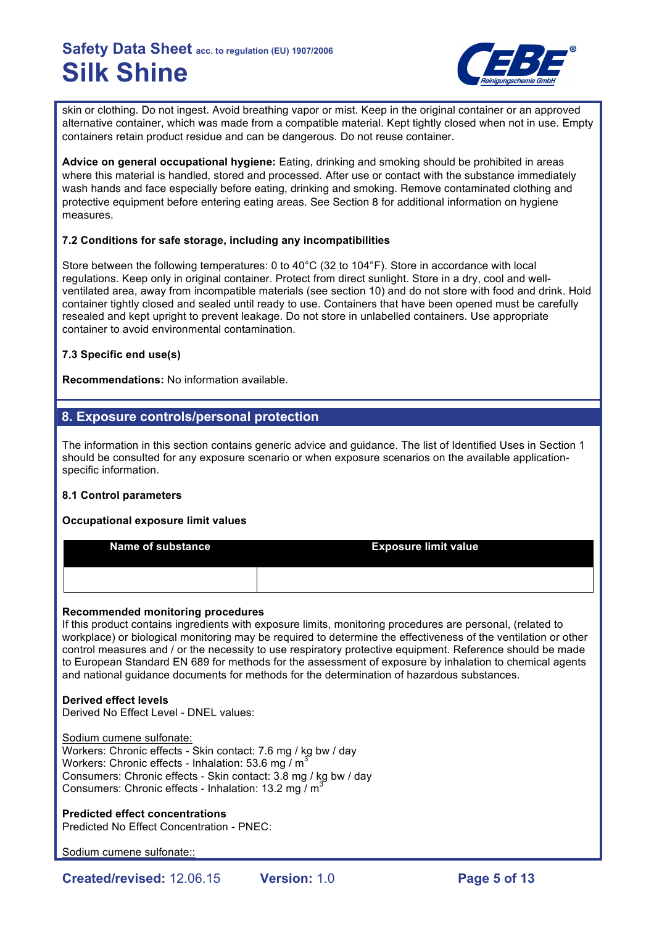

skin or clothing. Do not ingest. Avoid breathing vapor or mist. Keep in the original container or an approved alternative container, which was made from a compatible material. Kept tightly closed when not in use. Empty containers retain product residue and can be dangerous. Do not reuse container.

**Advice on general occupational hygiene:** Eating, drinking and smoking should be prohibited in areas where this material is handled, stored and processed. After use or contact with the substance immediately wash hands and face especially before eating, drinking and smoking. Remove contaminated clothing and protective equipment before entering eating areas. See Section 8 for additional information on hygiene measures.

#### **7.2 Conditions for safe storage, including any incompatibilities**

Store between the following temperatures: 0 to 40°C (32 to 104°F). Store in accordance with local regulations. Keep only in original container. Protect from direct sunlight. Store in a dry, cool and wellventilated area, away from incompatible materials (see section 10) and do not store with food and drink. Hold container tightly closed and sealed until ready to use. Containers that have been opened must be carefully resealed and kept upright to prevent leakage. Do not store in unlabelled containers. Use appropriate container to avoid environmental contamination.

#### **7.3 Specific end use(s)**

**Recommendations:** No information available.

## **8. Exposure controls/personal protection**

The information in this section contains generic advice and guidance. The list of Identified Uses in Section 1 should be consulted for any exposure scenario or when exposure scenarios on the available applicationspecific information.

#### **8.1 Control parameters**

#### **Occupational exposure limit values**

| <b>Name of substance</b> | <b>Exposure limit value</b> |
|--------------------------|-----------------------------|
|                          |                             |

#### **Recommended monitoring procedures**

If this product contains ingredients with exposure limits, monitoring procedures are personal, (related to workplace) or biological monitoring may be required to determine the effectiveness of the ventilation or other control measures and / or the necessity to use respiratory protective equipment. Reference should be made to European Standard EN 689 for methods for the assessment of exposure by inhalation to chemical agents and national guidance documents for methods for the determination of hazardous substances.

#### **Derived effect levels**

Derived No Effect Level - DNEL values:

Sodium cumene sulfonate: Workers: Chronic effects - Skin contact: 7.6 mg / kg bw / day Workers: Chronic effects - Inhalation: 53.6 mg  $/m<sup>3</sup>$ Consumers: Chronic effects - Skin contact: 3.8 mg / kg bw / day Consumers: Chronic effects - Inhalation: 13.2 mg  $\overline{M}^3$ 

**Predicted effect concentrations** Predicted No Effect Concentration - PNEC:

Sodium cumene sulfonate::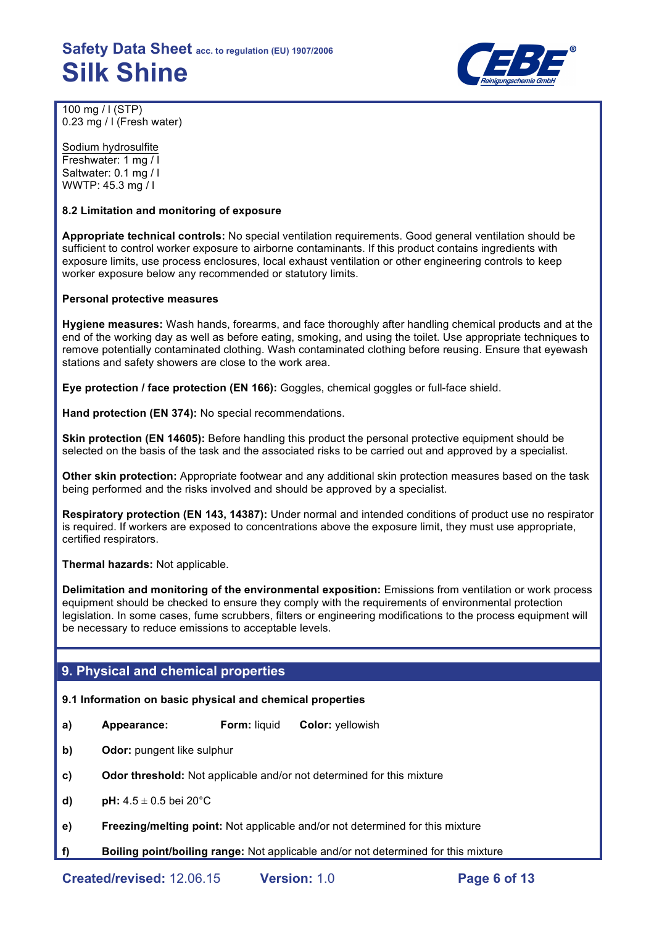

100 mg / l (STP) 0.23 mg / l (Fresh water)

Sodium hydrosulfite Freshwater: 1 mg / l Saltwater: 0.1 mg / l WWTP: 45.3 mg / l

#### **8.2 Limitation and monitoring of exposure**

**Appropriate technical controls:** No special ventilation requirements. Good general ventilation should be sufficient to control worker exposure to airborne contaminants. If this product contains ingredients with exposure limits, use process enclosures, local exhaust ventilation or other engineering controls to keep worker exposure below any recommended or statutory limits.

#### **Personal protective measures**

**Hygiene measures:** Wash hands, forearms, and face thoroughly after handling chemical products and at the end of the working day as well as before eating, smoking, and using the toilet. Use appropriate techniques to remove potentially contaminated clothing. Wash contaminated clothing before reusing. Ensure that eyewash stations and safety showers are close to the work area.

**Eye protection / face protection (EN 166):** Goggles, chemical goggles or full-face shield.

**Hand protection (EN 374):** No special recommendations.

**Skin protection (EN 14605):** Before handling this product the personal protective equipment should be selected on the basis of the task and the associated risks to be carried out and approved by a specialist.

**Other skin protection:** Appropriate footwear and any additional skin protection measures based on the task being performed and the risks involved and should be approved by a specialist.

**Respiratory protection (EN 143, 14387):** Under normal and intended conditions of product use no respirator is required. If workers are exposed to concentrations above the exposure limit, they must use appropriate, certified respirators.

**Thermal hazards:** Not applicable.

**Delimitation and monitoring of the environmental exposition:** Emissions from ventilation or work process equipment should be checked to ensure they comply with the requirements of environmental protection legislation. In some cases, fume scrubbers, filters or engineering modifications to the process equipment will be necessary to reduce emissions to acceptable levels.

### **9. Physical and chemical properties**

#### **9.1 Information on basic physical and chemical properties**

- **a) Appearance: Form:** liquid **Color:** yellowish
- **b) Odor:** pungent like sulphur
- **c) Odor threshold:** Not applicable and/or not determined for this mixture
- **d) pH:**  $4.5 \pm 0.5$  bei 20 $^{\circ}$ C
- **e) Freezing/melting point:** Not applicable and/or not determined for this mixture
- **f) Boiling point/boiling range:** Not applicable and/or not determined for this mixture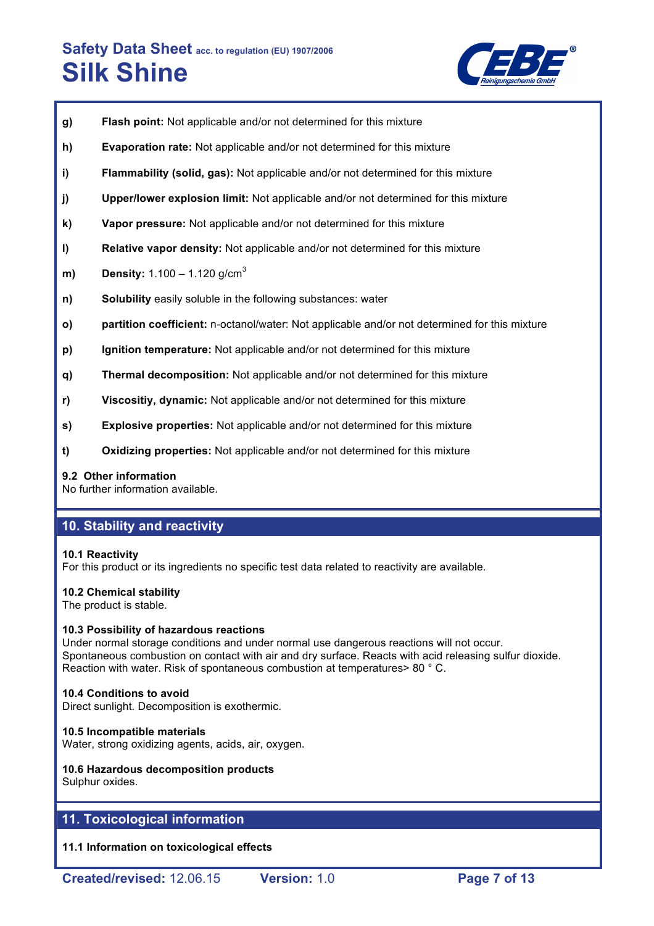

- **g) Flash point:** Not applicable and/or not determined for this mixture
- **h) Evaporation rate:** Not applicable and/or not determined for this mixture
- **i) Flammability (solid, gas):** Not applicable and/or not determined for this mixture
- **j) Upper/lower explosion limit:** Not applicable and/or not determined for this mixture
- **k) Vapor pressure:** Not applicable and/or not determined for this mixture
- **l) Relative vapor density:** Not applicable and/or not determined for this mixture
- **m) Density:** 1.100 1.120 g/cm<sup>3</sup>
- **n) Solubility** easily soluble in the following substances: water
- **o) partition coefficient:** n-octanol/water: Not applicable and/or not determined for this mixture
- **p) Ignition temperature:** Not applicable and/or not determined for this mixture
- **q) Thermal decomposition:** Not applicable and/or not determined for this mixture
- **r) Viscositiy, dynamic:** Not applicable and/or not determined for this mixture
- **s) Explosive properties:** Not applicable and/or not determined for this mixture
- **t) Oxidizing properties:** Not applicable and/or not determined for this mixture

#### **9.2 Other information**

No further information available.

### **10. Stability and reactivity**

#### **10.1 Reactivity**

For this product or its ingredients no specific test data related to reactivity are available.

#### **10.2 Chemical stability**

The product is stable.

#### **10.3 Possibility of hazardous reactions**

Under normal storage conditions and under normal use dangerous reactions will not occur. Spontaneous combustion on contact with air and dry surface. Reacts with acid releasing sulfur dioxide. Reaction with water. Risk of spontaneous combustion at temperatures> 80 ° C.

#### **10.4 Conditions to avoid**

Direct sunlight. Decomposition is exothermic.

#### **10.5 Incompatible materials**

Water, strong oxidizing agents, acids, air, oxygen.

#### **10.6 Hazardous decomposition products** Sulphur oxides.

### **11. Toxicological information**

**11.1 Information on toxicological effects**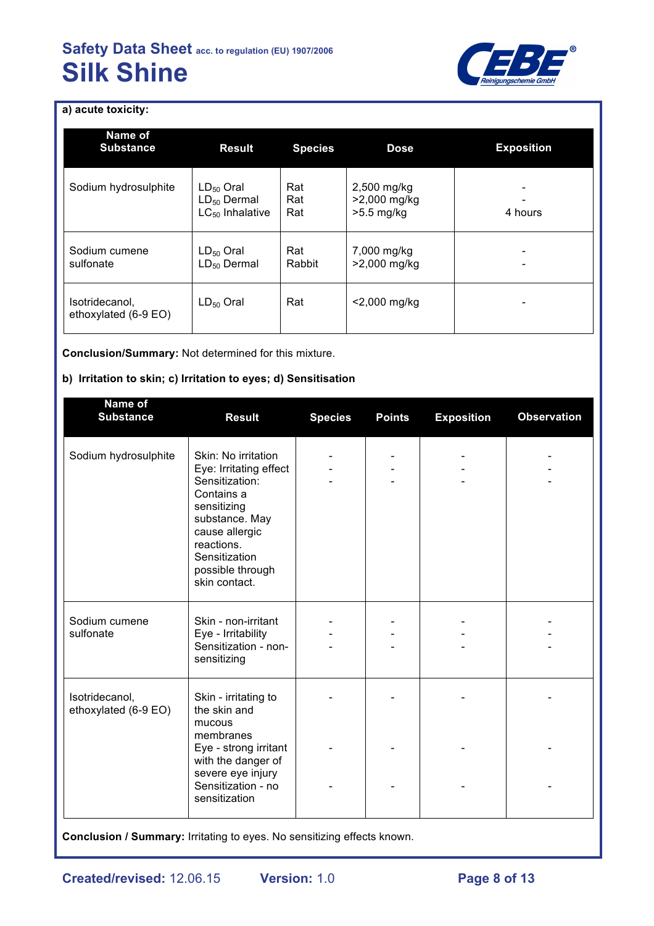

## **a) acute toxicity:**

| Name of<br><b>Substance</b>            | <b>Result</b>                                              | <b>Species</b>    | <b>Dose</b>                                 | <b>Exposition</b> |
|----------------------------------------|------------------------------------------------------------|-------------------|---------------------------------------------|-------------------|
| Sodium hydrosulphite                   | $LD_{50}$ Oral<br>$LD_{50}$ Dermal<br>$LC_{50}$ Inhalative | Rat<br>Rat<br>Rat | 2,500 mg/kg<br>>2,000 mg/kg<br>$>5.5$ mg/kg | 4 hours           |
| Sodium cumene<br>sulfonate             | $LD_{50}$ Oral<br>$LD_{50}$ Dermal                         | Rat<br>Rabbit     | 7,000 mg/kg<br>>2,000 mg/kg                 |                   |
| Isotridecanol,<br>ethoxylated (6-9 EO) | $LD_{50}$ Oral                                             | Rat               | $<$ 2,000 mg/kg                             |                   |

**Conclusion/Summary:** Not determined for this mixture.

## **b) Irritation to skin; c) Irritation to eyes; d) Sensitisation**

| Name of<br><b>Substance</b>            | <b>Result</b>                                                                                                                                                                                        | <b>Species</b> | <b>Points</b> | <b>Exposition</b> | <b>Observation</b> |
|----------------------------------------|------------------------------------------------------------------------------------------------------------------------------------------------------------------------------------------------------|----------------|---------------|-------------------|--------------------|
| Sodium hydrosulphite                   | Skin: No irritation<br>Eye: Irritating effect<br>Sensitization:<br>Contains a<br>sensitizing<br>substance. May<br>cause allergic<br>reactions.<br>Sensitization<br>possible through<br>skin contact. |                |               |                   |                    |
| Sodium cumene<br>sulfonate             | Skin - non-irritant<br>Eye - Irritability<br>Sensitization - non-<br>sensitizing                                                                                                                     |                |               |                   |                    |
| Isotridecanol,<br>ethoxylated (6-9 EO) | Skin - irritating to<br>the skin and<br>mucous<br>membranes<br>Eye - strong irritant<br>with the danger of                                                                                           |                |               |                   |                    |
|                                        | severe eye injury<br>Sensitization - no<br>sensitization                                                                                                                                             |                |               |                   |                    |

**Conclusion / Summary:** Irritating to eyes. No sensitizing effects known.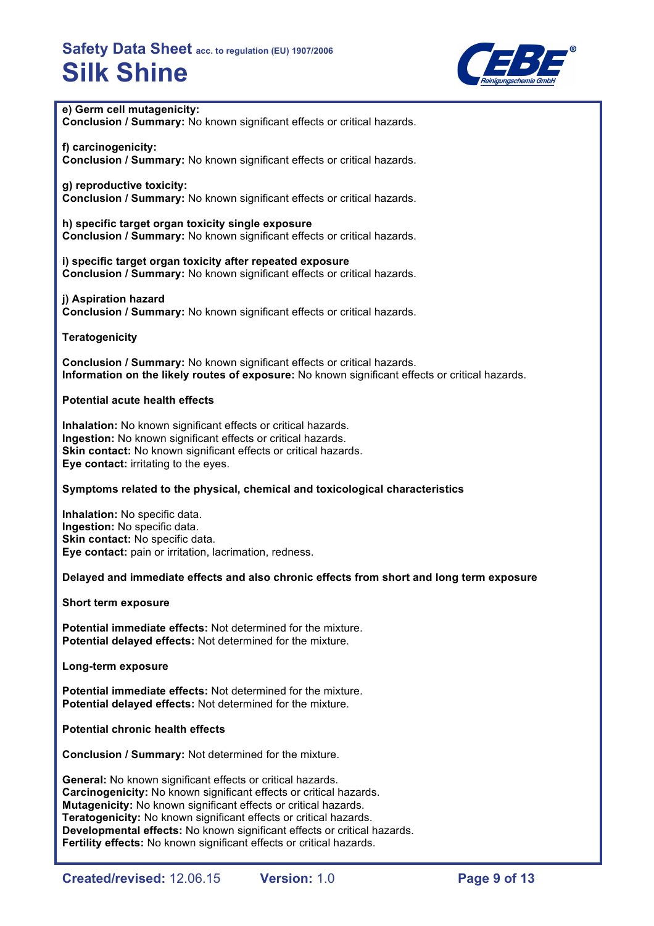

#### **e) Germ cell mutagenicity:**

**Conclusion / Summary:** No known significant effects or critical hazards.

**f) carcinogenicity: Conclusion / Summary:** No known significant effects or critical hazards.

#### **g) reproductive toxicity:**

**Conclusion / Summary:** No known significant effects or critical hazards.

**h) specific target organ toxicity single exposure Conclusion / Summary:** No known significant effects or critical hazards.

**i) specific target organ toxicity after repeated exposure Conclusion / Summary:** No known significant effects or critical hazards.

**j) Aspiration hazard Conclusion / Summary:** No known significant effects or critical hazards.

**Teratogenicity**

**Conclusion / Summary:** No known significant effects or critical hazards. **Information on the likely routes of exposure:** No known significant effects or critical hazards.

#### **Potential acute health effects**

**Inhalation:** No known significant effects or critical hazards. **Ingestion:** No known significant effects or critical hazards. **Skin contact:** No known significant effects or critical hazards. **Eye contact:** irritating to the eyes.

#### **Symptoms related to the physical, chemical and toxicological characteristics**

**Inhalation:** No specific data. **Ingestion:** No specific data. **Skin contact:** No specific data. **Eye contact:** pain or irritation, lacrimation, redness.

#### **Delayed and immediate effects and also chronic effects from short and long term exposure**

**Short term exposure**

**Potential immediate effects:** Not determined for the mixture. **Potential delayed effects:** Not determined for the mixture.

**Long-term exposure**

**Potential immediate effects:** Not determined for the mixture. **Potential delayed effects:** Not determined for the mixture.

**Potential chronic health effects**

**Conclusion / Summary:** Not determined for the mixture.

**General:** No known significant effects or critical hazards. **Carcinogenicity:** No known significant effects or critical hazards. **Mutagenicity:** No known significant effects or critical hazards. **Teratogenicity:** No known significant effects or critical hazards. **Developmental effects:** No known significant effects or critical hazards. **Fertility effects:** No known significant effects or critical hazards.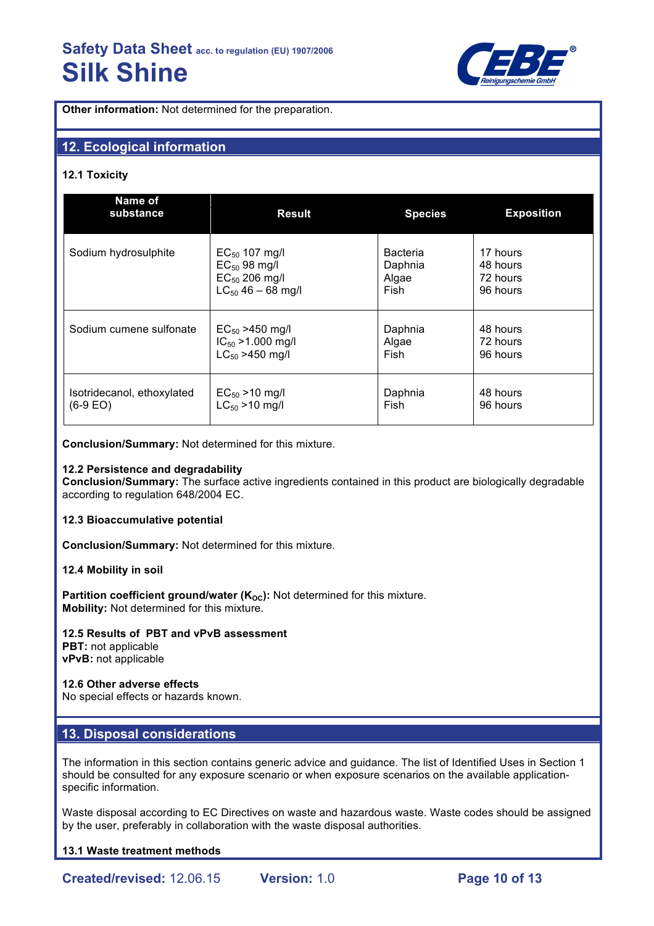

**Other information:** Not determined for the preparation.

## **12. Ecological information**

#### **12.1 Toxicity**

| Name of<br>substance                                                                             | <b>Result</b>          | <b>Species</b>           | <b>Exposition</b>                |
|--------------------------------------------------------------------------------------------------|------------------------|--------------------------|----------------------------------|
| Sodium hydrosulphite                                                                             | $EC_{50}$ 107 mg/l     | <b>Bacteria</b>          | 17 hours                         |
|                                                                                                  | $EC_{50}$ 98 mg/l      | Daphnia                  | 48 hours                         |
|                                                                                                  | $EC_{50}$ 206 mg/l     | Algae                    | 72 hours                         |
|                                                                                                  | $LC_{50}$ 46 – 68 mg/l | Fish                     | 96 hours                         |
| Sodium cumene sulfonate<br>$EC_{50}$ >450 mg/l<br>$IC_{50} > 1.000$ mg/l<br>$LC_{50} > 450$ mg/l |                        | Daphnia<br>Algae<br>Fish | 48 hours<br>72 hours<br>96 hours |
| Isotridecanol, ethoxylated                                                                       | $EC_{50} > 10$ mg/l    | Daphnia                  | 48 hours                         |
| $(6-9)$ EO)                                                                                      | $LC_{50} > 10$ mg/l    | Fish                     | 96 hours                         |

**Conclusion/Summary:** Not determined for this mixture.

#### **12.2 Persistence and degradability**

**Conclusion/Summary:** The surface active ingredients contained in this product are biologically degradable according to regulation 648/2004 EC.

#### **12.3 Bioaccumulative potential**

**Conclusion/Summary:** Not determined for this mixture.

#### **12.4 Mobility in soil**

**Partition coefficient ground/water (K<sub>OC</sub>):** Not determined for this mixture. **Mobility:** Not determined for this mixture.

### **12.5 Results of PBT and vPvB assessment**

**PBT:** not applicable **vPvB:** not applicable

#### **12.6 Other adverse effects**

No special effects or hazards known.

#### **13. Disposal considerations**

The information in this section contains generic advice and guidance. The list of Identified Uses in Section 1 should be consulted for any exposure scenario or when exposure scenarios on the available applicationspecific information.

Waste disposal according to EC Directives on waste and hazardous waste. Waste codes should be assigned by the user, preferably in collaboration with the waste disposal authorities.

#### **13.1 Waste treatment methods**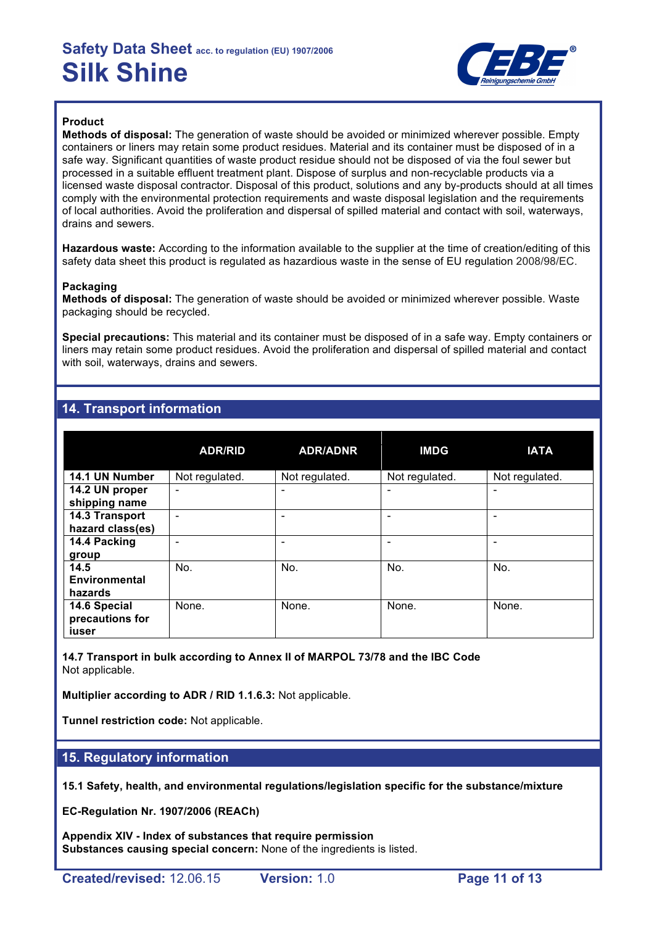

### **Product**

**Methods of disposal:** The generation of waste should be avoided or minimized wherever possible. Empty containers or liners may retain some product residues. Material and its container must be disposed of in a safe way. Significant quantities of waste product residue should not be disposed of via the foul sewer but processed in a suitable effluent treatment plant. Dispose of surplus and non-recyclable products via a licensed waste disposal contractor. Disposal of this product, solutions and any by-products should at all times comply with the environmental protection requirements and waste disposal legislation and the requirements of local authorities. Avoid the proliferation and dispersal of spilled material and contact with soil, waterways, drains and sewers.

**Hazardous waste:** According to the information available to the supplier at the time of creation/editing of this safety data sheet this product is regulated as hazardious waste in the sense of EU regulation 2008/98/EC.

#### **Packaging**

**Methods of disposal:** The generation of waste should be avoided or minimized wherever possible. Waste packaging should be recycled.

**Special precautions:** This material and its container must be disposed of in a safe way. Empty containers or liners may retain some product residues. Avoid the proliferation and dispersal of spilled material and contact with soil, waterways, drains and sewers.

### **14. Transport information**

|                                          | <b>ADR/RID</b>               | <b>ADR/ADNR</b>          | <b>IMDG</b>    | <b>IATA</b>    |
|------------------------------------------|------------------------------|--------------------------|----------------|----------------|
| 14.1 UN Number                           | Not regulated.               | Not regulated.           | Not regulated. | Not regulated. |
| 14.2 UN proper<br>shipping name          | $\qquad \qquad \blacksquare$ | $\overline{\phantom{0}}$ | -              | ۰              |
| 14.3 Transport<br>hazard class(es)       |                              |                          |                |                |
| 14.4 Packing<br>group                    |                              |                          |                |                |
| 14.5<br><b>Environmental</b><br>hazards  | No.                          | No.                      | No.            | No.            |
| 14.6 Special<br>precautions for<br>iuser | None.                        | None.                    | None.          | None.          |

**14.7 Transport in bulk according to Annex II of MARPOL 73/78 and the IBC Code** Not applicable.

**Multiplier according to ADR / RID 1.1.6.3:** Not applicable.

**Tunnel restriction code:** Not applicable.

### **15. Regulatory information**

**15.1 Safety, health, and environmental regulations/legislation specific for the substance/mixture**

**EC-Regulation Nr. 1907/2006 (REACh)**

**Appendix XIV - Index of substances that require permission Substances causing special concern:** None of the ingredients is listed.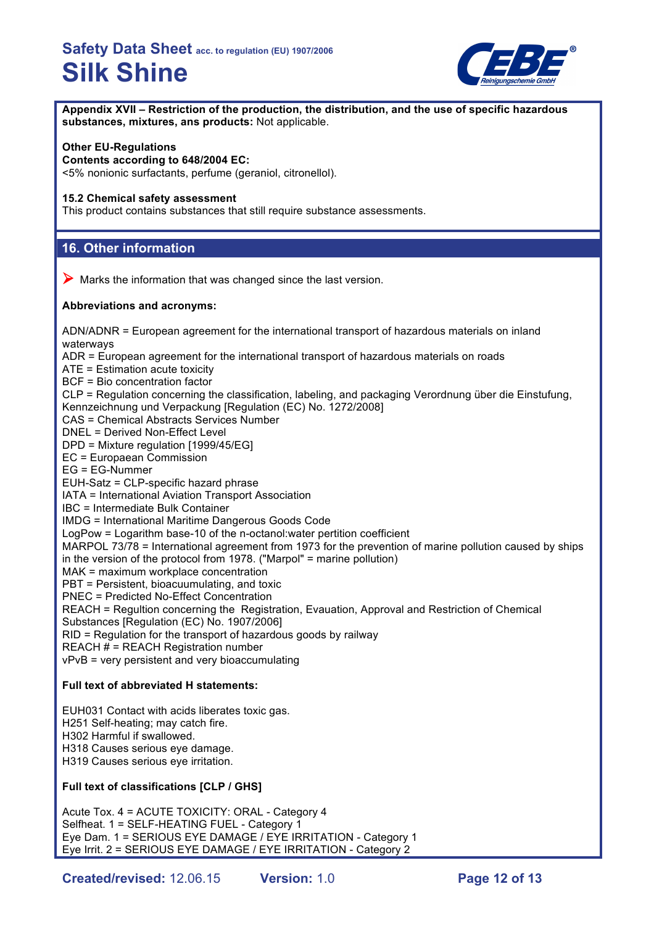

**Appendix XVII – Restriction of the production, the distribution, and the use of specific hazardous substances, mixtures, ans products:** Not applicable.

#### **Other EU-Regulations**

**Contents according to 648/2004 EC:**

<5% nonionic surfactants, perfume (geraniol, citronellol).

#### **15.2 Chemical safety assessment**

This product contains substances that still require substance assessments.

#### **16. Other information**

 $\triangleright$  Marks the information that was changed since the last version.

#### **Abbreviations and acronyms:**

ADN/ADNR = European agreement for the international transport of hazardous materials on inland waterways ADR = European agreement for the international transport of hazardous materials on roads

ATE = Estimation acute toxicity

BCF = Bio concentration factor

CLP = Regulation concerning the classification, labeling, and packaging Verordnung über die Einstufung, Kennzeichnung und Verpackung [Regulation (EC) No. 1272/2008]

CAS = Chemical Abstracts Services Number

DNEL = Derived Non-Effect Level

DPD = Mixture regulation [1999/45/EG]

EC = Europaean Commission

EG = EG-Nummer

EUH-Satz = CLP-specific hazard phrase

IATA = International Aviation Transport Association

IBC = Intermediate Bulk Container

IMDG = International Maritime Dangerous Goods Code

LogPow = Logarithm base-10 of the n-octanol:water pertition coefficient

MARPOL 73/78 = International agreement from 1973 for the prevention of marine pollution caused by ships in the version of the protocol from 1978. ("Marpol" = marine pollution)

MAK = maximum workplace concentration

PBT = Persistent, bioacuumulating, and toxic

PNEC = Predicted No-Effect Concentration

REACH = Regultion concerning the Registration, Evauation, Approval and Restriction of Chemical

Substances [Regulation (EC) No. 1907/2006]

RID = Regulation for the transport of hazardous goods by railway

REACH # = REACH Registration number

vPvB = very persistent and very bioaccumulating

#### **Full text of abbreviated H statements:**

EUH031 Contact with acids liberates toxic gas. H251 Self-heating; may catch fire. H302 Harmful if swallowed. H318 Causes serious eye damage. H319 Causes serious eye irritation.

#### **Full text of classifications [CLP / GHS]**

Acute Tox. 4 = ACUTE TOXICITY: ORAL - Category 4 Selfheat. 1 = SELF-HEATING FUEL - Category 1 Eye Dam. 1 = SERIOUS EYE DAMAGE / EYE IRRITATION - Category 1 Eye Irrit. 2 = SERIOUS EYE DAMAGE / EYE IRRITATION - Category 2